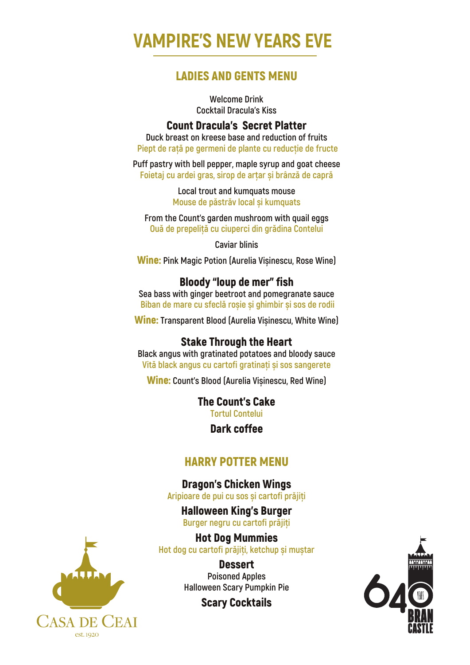# **VAMPIRE'S NEW YEARS EVE**

## LADIES AND GENTS MENU

**Welcome Drink Cocktail Dracula's Kiss**

#### Count Dracula's Secret Platter

**Duck breast on kreese base and reduction of fruits Piept de rață pe germeni de plante cu reducție de fructe**

**Puff pastry with bell pepper, maple syrup and goat cheese Foietaj cu ardei gras, sirop de arțar și brânză de capră**

> **Local trout and kumquats mouse Mouse de păstrăv local și kumquats**

**From the Count's garden mushroom with quail eggs Ouă de prepeliță cu ciuperci din grădina Contelui**

**Caviar blinis** 

Wine: **Pink Magic Potion (Aurelia Vișinescu, Rose Wine)**

## Bloody "loup de mer" fish

**Sea bass with ginger beetroot and pomegranate sauce Biban de mare cu sfeclă roșie și ghimbir și sos de rodii**

Wine: **Transparent Blood (Aurelia Vișinescu, White Wine)**

## Stake Through the Heart

**Black angus with gratinated potatoes and bloody sauce Vită black angus cu cartofi gratinați și sos sangerete**

Wine: **Count's Blood (Aurelia Vișinescu, Red Wine)**

The Count's Cake **Tortul Contelui**

Dark coffee

# HARRY POTTER MENU

Dragon's Chicken Wings **Aripioare de pui cu sos și cartofi prăjiți**

Halloween King's Burger **Burger negru cu cartofi prăjiți**

Hot Dog Mummies **Hot dog cu cartofi prăjiți, ketchup și muștar**

> **Dessert Poisoned Apples Halloween Scary Pumpkin Pie**

> > Scary Cocktails